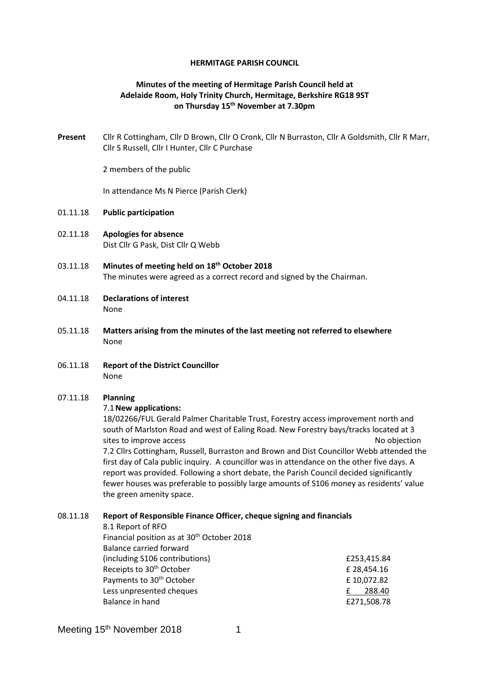#### **HERMITAGE PARISH COUNCIL**

## **Minutes of the meeting of Hermitage Parish Council held at Adelaide Room, Holy Trinity Church, Hermitage, Berkshire RG18 9ST on Thursday 15th November at 7.30pm**

**Present** Cllr R Cottingham, Cllr D Brown, Cllr O Cronk, Cllr N Burraston, Cllr A Goldsmith, Cllr R Marr, Cllr S Russell, Cllr I Hunter, Cllr C Purchase

2 members of the public

In attendance Ms N Pierce (Parish Clerk)

#### 01.11.18 **Public participation**

- 02.11.18 **Apologies for absence** Dist Cllr G Pask, Dist Cllr Q Webb
- 03.11.18 **Minutes of meeting held on 18th October 2018** The minutes were agreed as a correct record and signed by the Chairman.
- 04.11.18 **Declarations of interest** None
- 05.11.18 **Matters arising from the minutes of the last meeting not referred to elsewhere** None
- 06.11.18 **Report of the District Councillor** None

### 07.11.18 **Planning**

#### 7.1**New applications:**

18/02266/FUL Gerald Palmer Charitable Trust, Forestry access improvement north and south of Marlston Road and west of Ealing Road. New Forestry bays/tracks located at 3 sites to improve access no objection and the state of the state of the state of the state of the state of the state of the state of the state of the state of the state of the state of the state of the state of the state of 7.2 Cllrs Cottingham, Russell, Burraston and Brown and Dist Councillor Webb attended the first day of Cala public inquiry. A councillor was in attendance on the other five days. A report was provided. Following a short debate, the Parish Council decided significantly fewer houses was preferable to possibly large amounts of S106 money as residents' value the green amenity space.

#### 08.11.18 **Report of Responsible Finance Officer, cheque signing and financials**

8.1 Report of RFO Financial position as at 30<sup>th</sup> October 2018 Balance carried forward (including S106 contributions) £253,415.84 Receipts to 30<sup>th</sup> October **E** 28,454.16 Payments to 30<sup>th</sup> October **E** 10,072.82 Less unpresented cheques **E** 288.40 Balance in hand **EXALL** Balance in hand **EXALL** Balance in hand **EXALL** BALACE **EXALL** BALACE **EXALL** BALACE **EXALL** BALACE **EXALL BALACE 10 100 PM** 

|  | LZJJ,413    |
|--|-------------|
|  | £ 28,454.   |
|  | £10,072.    |
|  | <u>£288</u> |
|  | £271,508    |
|  |             |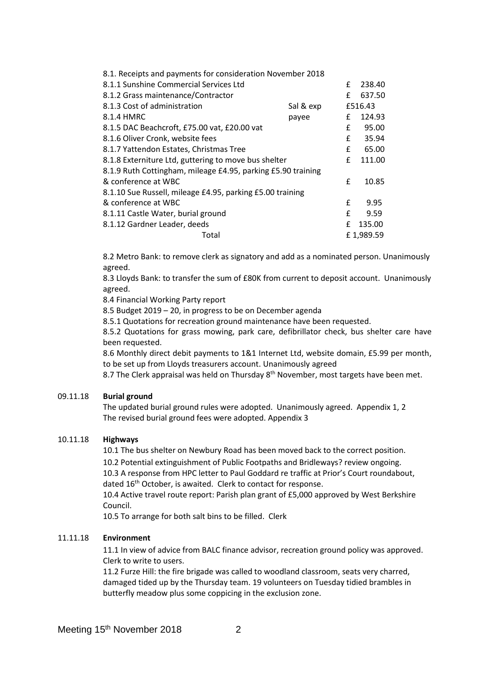| 8.1. Receipts and payments for consideration November 2018   |           |   |           |
|--------------------------------------------------------------|-----------|---|-----------|
| 8.1.1 Sunshine Commercial Services Ltd                       |           | £ | 238.40    |
| 8.1.2 Grass maintenance/Contractor                           |           | £ | 637.50    |
| 8.1.3 Cost of administration                                 | Sal & exp |   | £516.43   |
| 8.1.4 HMRC                                                   | payee     | £ | 124.93    |
| 8.1.5 DAC Beachcroft, £75.00 vat, £20.00 vat                 |           | £ | 95.00     |
| 8.1.6 Oliver Cronk, website fees                             |           |   | 35.94     |
| 8.1.7 Yattendon Estates, Christmas Tree                      |           |   | 65.00     |
| 8.1.8 Externiture Ltd, guttering to move bus shelter         |           |   | 111.00    |
| 8.1.9 Ruth Cottingham, mileage £4.95, parking £5.90 training |           |   |           |
| & conference at WBC                                          |           | £ | 10.85     |
| 8.1.10 Sue Russell, mileage £4.95, parking £5.00 training    |           |   |           |
| & conference at WBC                                          |           | £ | 9.95      |
| 8.1.11 Castle Water, burial ground                           |           | £ | 9.59      |
| 8.1.12 Gardner Leader, deeds                                 |           | £ | 135.00    |
| Total                                                        |           |   | £1,989.59 |

8.2 Metro Bank: to remove clerk as signatory and add as a nominated person. Unanimously agreed.

8.3 Lloyds Bank: to transfer the sum of £80K from current to deposit account. Unanimously agreed.

8.4 Financial Working Party report

8.5 Budget 2019 – 20, in progress to be on December agenda

8.5.1 Quotations for recreation ground maintenance have been requested.

8.5.2 Quotations for grass mowing, park care, defibrillator check, bus shelter care have been requested.

8.6 Monthly direct debit payments to 1&1 Internet Ltd, website domain, £5.99 per month, to be set up from Lloyds treasurers account. Unanimously agreed

8.7 The Clerk appraisal was held on Thursday 8<sup>th</sup> November, most targets have been met.

#### 09.11.18 **Burial ground**

The updated burial ground rules were adopted. Unanimously agreed. Appendix 1, 2 The revised burial ground fees were adopted. Appendix 3

#### 10.11.18 **Highways**

10.1 The bus shelter on Newbury Road has been moved back to the correct position.

10.2 Potential extinguishment of Public Footpaths and Bridleways? review ongoing. 10.3 A response from HPC letter to Paul Goddard re traffic at Prior's Court roundabout, dated 16<sup>th</sup> October, is awaited. Clerk to contact for response.

10.4 Active travel route report: Parish plan grant of £5,000 approved by West Berkshire Council.

10.5 To arrange for both salt bins to be filled. Clerk

### 11.11.18 **Environment**

11.1 In view of advice from BALC finance advisor, recreation ground policy was approved. Clerk to write to users.

11.2 Furze Hill: the fire brigade was called to woodland classroom, seats very charred, damaged tided up by the Thursday team. 19 volunteers on Tuesday tidied brambles in butterfly meadow plus some coppicing in the exclusion zone.